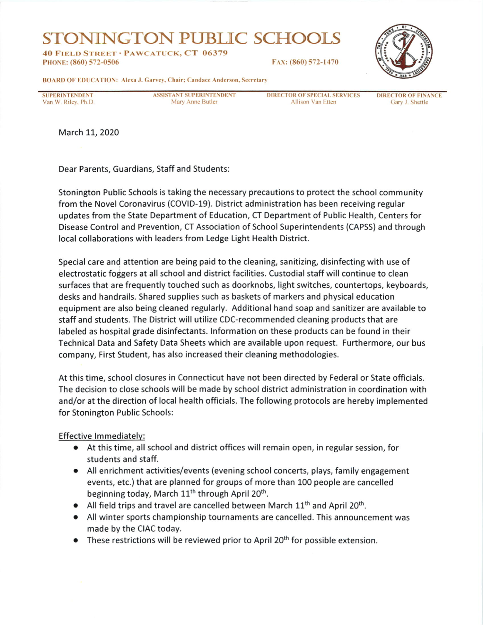## STONNNGTON PUBLIC SCHOOL.S

40 FIELD STREET · PAWCATUCK, CT 06379 PHoNE: (860) 572-0506



BOARD OF EDUCATION: Alexa J. Garvey, Chair: Candace Anderson, Secretary

SUPERINTENDENT Van W. Riley, Ph.D. ASSISTANT SUPERINTENDENT Mary Anne Butler

DIRECTOR OF SPECIAL SERVICES **Allison Van Etten** 

DIRECTOR OF FINANCE Cary J. Shettle

March 11, 2020

Dear Parents, Guardians, Staff and Students:

Stonington Public Schools is taking the necessary precautions to protect the school community from the Novel Coronavirus (COVID-19). District administration has been receiving regular updates from the State Department of Education, CT Department of Public Health, Centers for Disease Control and Prevention, CT Association of School Superintendents (CAPSS) and through local collaborations with leaders from Ledge Light Health District.

Special care and attention are being paid to the cleaning, sanitizing, disinfecting with use of electrostatic foggers at all school and district facilities. Custodial staff will continue to clean surfaces that are frequently touched such as doorknobs, light switches, countertops, keyboards, desks and handrails. Shared supplies such as baskets of markers and physical education equipment are also being cleaned regularly. Additional hand soap and sanitizer are available to staff and students. The District will utilize CDc-recommended cleaning products that are labeled as hospital grade disinfectants. lnformation on these products can be found in their Technical Data and Safety Data Sheets which are available upon request. Furthermore, our bus company, First Student, has also increased their cleaning methodologies.

At this time, school closures in Connecticut have not been directed by Federal or State officials. The decision to close schools will be made by school district administration in coordination with and/or at the direction of local health officials. The following protocols are hereby implemented for Stonington Public Schools:

Effective lmmediatelv:

- . At this time, all school and district offices will remain open, in regular session, for students and staff.
- . All enrichment activities/events (evening school concerts, plays, family engagement events, etc.) that are planned for groups of more than 100 people are cancelled beginning today, March 11<sup>th</sup> through April 20<sup>th</sup>.
- All field trips and travel are cancelled between March  $11<sup>th</sup>$  and April 20<sup>th</sup>.
- . All winter sports championship tournaments are cancelled. This announcement was made by the CIAC today.
- $\bullet$  These restrictions will be reviewed prior to April 20<sup>th</sup> for possible extension.